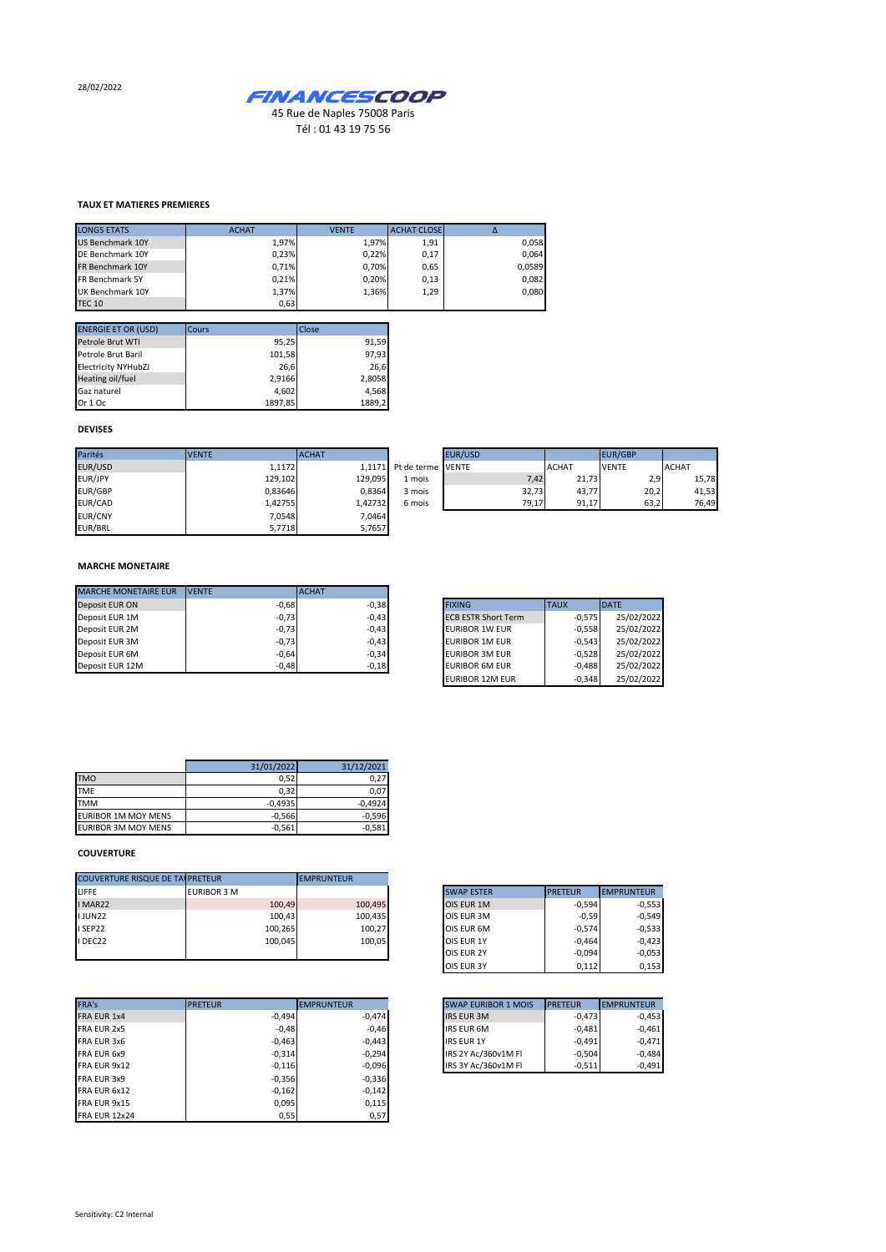28/02/2022



Tél : 01 43 19 75 56

## **TAUX ET MATIERES PREMIERES**

| <b>LONGS ETATS</b>     | <b>ACHAT</b> | <b>VENTE</b> | <b>ACHAT CLOSE</b> |        |
|------------------------|--------------|--------------|--------------------|--------|
| US Benchmark 10Y       | 1.97%        | 1.97%        | 1,91               | 0,058  |
| DE Benchmark 10Y       | 0.23%        | 0.22%        | 0,17               | 0.064  |
| FR Benchmark 10Y       | 0.71%        | 0.70%        | 0,65               | 0,0589 |
| <b>FR Benchmark 5Y</b> | 0.21%        | 0.20%        | 0,13               | 0,082  |
| UK Benchmark 10Y       | 1.37%        | 1.36%        | 1,29               | 0,080  |
| <b>TEC 10</b>          | 0,63         |              |                    |        |

| <b>ENERGIE ET OR (USD)</b> | Cours   | Close  |
|----------------------------|---------|--------|
| Petrole Brut WTI           | 95,25   | 91,59  |
| Petrole Brut Baril         | 101,58  | 97,93  |
| <b>Electricity NYHubZJ</b> | 26,6    | 26,6   |
| Heating oil/fuel           | 2,9166  | 2,8058 |
| Gaz naturel                | 4,602   | 4,568  |
| Or 1 Oc                    | 1897,85 | 1889,2 |

## **DEVISES**

| Parités        | <b>IVENTE</b> | <b>ACHAT</b> |                          | EUR/USD |              | EUR/GBP      |              |
|----------------|---------------|--------------|--------------------------|---------|--------------|--------------|--------------|
| EUR/USD        | 1.1172        |              | 1.1171 Pt de terme VENTE |         | <b>ACHAT</b> | <b>VENTE</b> | <b>ACHAT</b> |
| EUR/JPY        | 129,102       | 129,095      | 1 mois                   | 7,42    | 21,73        | 2,9          | 15,78        |
| <b>EUR/GBP</b> | 0.83646       | 0,8364       | 3 mois                   | 32,73   | 43.77        | 20,2         | 41,53        |
| EUR/CAD        | 1,42755       | 1,42732      | 6 mois                   | 79,17   | 91,17        | 63,2         | 76,49        |
| <b>EUR/CNY</b> | 7.0548        | 7,0464       |                          |         |              |              |              |
| EUR/BRL        | 5,7718        | 5,7657       |                          |         |              |              |              |

## **MARCHE MONETAIRE**

| <b>MARCHE MONETAIRE EUR</b> | <b>IVENTE</b> | <b>ACHAT</b> |
|-----------------------------|---------------|--------------|
| Deposit EUR ON              | $-0.68$       | $-0.38$      |
| Deposit EUR 1M              | $-0,73$       | $-0,43$      |
| Deposit EUR 2M              | $-0,73$       | $-0,43$      |
| Deposit EUR 3M              | $-0,73$       | $-0,43$      |
| Deposit EUR 6M              | $-0,64$       | $-0.34$      |
| Deposit EUR 12M             | $-0,48$       | $-0,18$      |

| <b>FIXING</b>              | TAUX     | <b>DATE</b> |
|----------------------------|----------|-------------|
| <b>ECB ESTR Short Term</b> | $-0.575$ | 25/02/2022  |
| <b>EURIBOR 1W EUR</b>      | $-0.558$ | 25/02/2022  |
| <b>EURIBOR 1M EUR</b>      | $-0.543$ | 25/02/2022  |
| <b>EURIBOR 3M EUR</b>      | $-0.528$ | 25/02/2022  |
| <b>EURIBOR 6M EUR</b>      | $-0,488$ | 25/02/2022  |
| <b>EURIBOR 12M EUR</b>     | $-0.348$ | 25/02/2022  |

|                            | 31/01/2022 | 31/12/2021 |
|----------------------------|------------|------------|
| <b>TMO</b>                 | 0.52       | 0.27       |
| <b>TME</b>                 | 0.32       | 0.07       |
| <b>TMM</b>                 | $-0,4935$  | $-0.4924$  |
| <b>EURIBOR 1M MOY MENS</b> | $-0,566$   | $-0,596$   |
| <b>EURIBOR 3M MOY MENS</b> | $-0,561$   | $-0,581$   |

## **COUVERTURE**

| <b>COUVERTURE RISQUE DE TALPRETEUR</b> |                    | <b>EMPRUNTEUR</b> |                   |                                     |
|----------------------------------------|--------------------|-------------------|-------------------|-------------------------------------|
| LIFFE                                  | <b>EURIBOR 3 M</b> |                   | <b>SWAP ESTER</b> | <b>PRETEUR</b><br><b>EMPRUNTEUR</b> |
| I MAR22                                | 100,49             | 100,495           | OIS EUR 1M        | $-0.594$                            |
| <b>IJUN22</b>                          | 100,43             | 100.435           | OIS EUR 3M        | $-0.59$                             |
| I SEP22                                | 100,265            | 100,27            | OIS EUR 6M        | $-0.574$                            |
| I DEC22                                | 100,045            | 100,05            | OIS EUR 1Y        | $-0.464$                            |
|                                        |                    |                   | OIS EUR 2Y        | $-0,094$                            |

| FRA's<br><b>PRETEUR</b><br><b>EMPRUNTEUR</b><br><b>PRETEUR</b><br><b>SWAP EURIBOR 1 MOIS</b><br>$-0,494$<br>$-0,474$<br>FRA EUR 1x4<br><b>IRS EUR 3M</b><br>$-0,48$<br>$-0.46$<br><b>IRS EUR 6M</b><br>$-0,463$<br>$-0.443$<br><b>IRS EUR 1Y</b><br>$-0.294$<br>IRS 2Y Ac/360v1M FI<br>$-0,314$<br>IRS 3Y Ac/360v1M FI<br>$-0,096$<br>$-0,116$<br>$-0,356$<br>$-0,336$<br>$-0,162$<br>$-0,142$<br>0,095<br>0,115<br>0,57<br>0,55 |                      |  |  |          |
|----------------------------------------------------------------------------------------------------------------------------------------------------------------------------------------------------------------------------------------------------------------------------------------------------------------------------------------------------------------------------------------------------------------------------------|----------------------|--|--|----------|
|                                                                                                                                                                                                                                                                                                                                                                                                                                  |                      |  |  |          |
|                                                                                                                                                                                                                                                                                                                                                                                                                                  |                      |  |  | $-0,473$ |
|                                                                                                                                                                                                                                                                                                                                                                                                                                  | FRA EUR 2x5          |  |  | $-0,481$ |
|                                                                                                                                                                                                                                                                                                                                                                                                                                  | FRA EUR 3x6          |  |  | $-0.491$ |
|                                                                                                                                                                                                                                                                                                                                                                                                                                  | FRA EUR 6x9          |  |  | $-0.504$ |
|                                                                                                                                                                                                                                                                                                                                                                                                                                  | FRA EUR 9x12         |  |  | $-0,511$ |
|                                                                                                                                                                                                                                                                                                                                                                                                                                  | FRA EUR 3x9          |  |  |          |
|                                                                                                                                                                                                                                                                                                                                                                                                                                  | FRA EUR 6x12         |  |  |          |
|                                                                                                                                                                                                                                                                                                                                                                                                                                  | FRA EUR 9x15         |  |  |          |
|                                                                                                                                                                                                                                                                                                                                                                                                                                  | <b>FRA EUR 12x24</b> |  |  |          |

| <b>SWAP ESTER</b> | <b>PRETEUR</b> | <b>EMPRUNTEUR</b> |
|-------------------|----------------|-------------------|
| OIS EUR 1M        | $-0.594$       | $-0,553$          |
| OIS EUR 3M        | $-0.59$        | $-0,549$          |
| OIS EUR 6M        | $-0.574$       | $-0,533$          |
| OIS EUR 1Y        | $-0.464$       | $-0.423$          |
| OIS EUR 2Y        | $-0.094$       | $-0,053$          |
| OIS EUR 3Y        | 0.112          | 0,153             |

| <b>SWAP EURIBOR 1 MOIS</b> | <b>PRETEUR</b> | <b>EMPRUNTEUR</b> |
|----------------------------|----------------|-------------------|
| <b>IRS EUR 3M</b>          | $-0,473$       | $-0,453$          |
| <b>IRS EUR 6M</b>          | $-0,481$       | $-0,461$          |
| <b>IRS EUR 1Y</b>          | $-0.491$       | $-0.471$          |
| IRS 2Y Ac/360v1M Fl        | $-0.504$       | $-0.484$          |
| IRS 3Y Ac/360v1M FI        | $-0.511$       | $-0,491$          |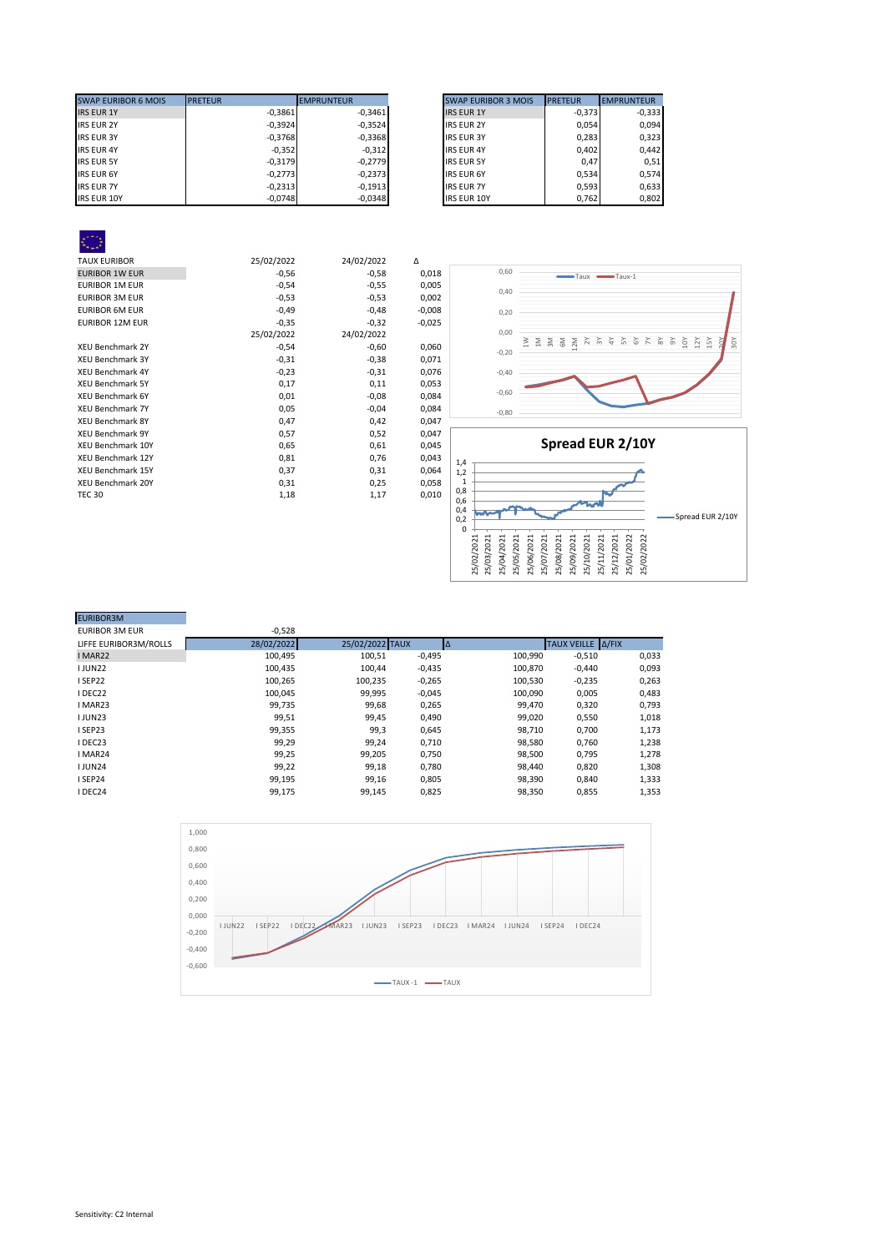| <b>SWAP EURIBOR 6 MOIS</b> | <b>PRETEUR</b> | <b>EMPRUNTEUR</b> | <b>SWAP EURIBOR 3 MOIS</b> | <b>PRETEUR</b> |
|----------------------------|----------------|-------------------|----------------------------|----------------|
| <b>IRS EUR 1Y</b>          | $-0,3861$      | $-0.3461$         | <b>IRS EUR 1Y</b>          | $-0.373$       |
| <b>IRS EUR 2Y</b>          | $-0,3924$      | $-0,3524$         | <b>IRS EUR 2Y</b>          | 0.054          |
| <b>IRS EUR 3Y</b>          | $-0,3768$      | $-0.3368$         | <b>IRS EUR 3Y</b>          | 0.283          |
| <b>IRS EUR 4Y</b>          | $-0,352$       | $-0,312$          | <b>IRS EUR 4Y</b>          | 0.402          |
| <b>IRS EUR 5Y</b>          | $-0.3179$      | $-0.2779$         | <b>IRS EUR 5Y</b>          | 0.47           |
| <b>IRS EUR 6Y</b>          | $-0,2773$      | $-0.2373$         | <b>IRS EUR 6Y</b>          | 0.534          |
| <b>IRS EUR 7Y</b>          | $-0.2313$      | $-0,1913$         | <b>IRS EUR 7Y</b>          | 0.593          |
| <b>IRS EUR 10Y</b>         | $-0,0748$      | $-0,0348$         | <b>IRS EUR 10Y</b>         | 0,762          |

| <b>SWAP EURIBOR 3 MOIS</b> | <b>PRETEUR</b> | <b>EMPRUNTEUR</b> |
|----------------------------|----------------|-------------------|
| <b>IRS EUR 1Y</b>          | $-0,373$       | $-0,333$          |
| <b>IRS EUR 2Y</b>          | 0,054          | 0,094             |
| <b>IRS EUR 3Y</b>          | 0,283          | 0,323             |
| <b>IRS EUR 4Y</b>          | 0,402          | 0,442             |
| <b>IRS EUR 5Y</b>          | 0.47           | 0.51              |
| <b>IRS EUR 6Y</b>          | 0,534          | 0.574             |
| <b>IRS EUR 7Y</b>          | 0,593          | 0,633             |
| <b>IRS EUR 10Y</b>         | 0,762          | 0.802             |

| <b>TAUX EURIBOR</b>      | 25/02/2022 | 24/02/2022 | Δ        |
|--------------------------|------------|------------|----------|
| <b>EURIBOR 1W EUR</b>    | $-0,56$    | $-0,58$    | 0,018    |
| <b>EURIBOR 1M EUR</b>    | $-0,54$    | $-0,55$    | 0,005    |
| <b>EURIBOR 3M EUR</b>    | $-0,53$    | $-0,53$    | 0,002    |
| <b>EURIBOR 6M EUR</b>    | $-0,49$    | $-0,48$    | $-0,008$ |
| <b>EURIBOR 12M EUR</b>   | $-0,35$    | $-0,32$    | $-0,025$ |
|                          | 25/02/2022 | 24/02/2022 |          |
| <b>XEU Benchmark 2Y</b>  | $-0,54$    | $-0,60$    | 0,060    |
| <b>XEU Benchmark 3Y</b>  | $-0,31$    | $-0,38$    | 0,071    |
| <b>XEU Benchmark 4Y</b>  | $-0,23$    | $-0,31$    | 0,076    |
| <b>XEU Benchmark 5Y</b>  | 0,17       | 0,11       | 0,053    |
| <b>XEU Benchmark 6Y</b>  | 0,01       | $-0,08$    | 0,084    |
| <b>XEU Benchmark 7Y</b>  | 0,05       | $-0,04$    | 0,084    |
| <b>XEU Benchmark 8Y</b>  | 0,47       | 0,42       | 0,047    |
| <b>XEU Benchmark 9Y</b>  | 0,57       | 0,52       | 0,047    |
| XEU Benchmark 10Y        | 0,65       | 0,61       | 0,045    |
| <b>XEU Benchmark 12Y</b> | 0,81       | 0,76       | 0,043    |
| <b>XEU Benchmark 15Y</b> | 0,37       | 0,31       | 0,064    |
| <b>XEU Benchmark 20Y</b> | 0,31       | 0,25       | 0,058    |
| <b>TEC 30</b>            | 1,18       | 1,17       | 0,010    |
|                          |            |            |          |





| $-0,528$   |         |          |                 |          |                   |
|------------|---------|----------|-----------------|----------|-------------------|
| 28/02/2022 |         |          |                 |          |                   |
| 100,495    | 100,51  | $-0,495$ | 100,990         | $-0,510$ | 0,033             |
| 100,435    | 100.44  | $-0,435$ | 100,870         | $-0,440$ | 0,093             |
| 100,265    | 100,235 | $-0,265$ | 100,530         | $-0,235$ | 0,263             |
| 100,045    | 99,995  | $-0,045$ | 100,090         | 0,005    | 0,483             |
| 99,735     | 99,68   | 0,265    | 99,470          | 0,320    | 0,793             |
| 99,51      | 99,45   | 0,490    | 99,020          | 0,550    | 1,018             |
| 99,355     | 99,3    | 0,645    | 98,710          | 0,700    | 1,173             |
| 99,29      | 99,24   | 0,710    | 98,580          | 0,760    | 1,238             |
| 99,25      | 99,205  | 0,750    | 98,500          | 0,795    | 1,278             |
| 99,22      | 99,18   | 0.780    | 98,440          | 0.820    | 1,308             |
| 99,195     | 99,16   | 0,805    | 98,390          | 0,840    | 1,333             |
| 99,175     | 99.145  | 0,825    | 98,350          | 0,855    | 1,353             |
|            |         |          | 25/02/2022 TAUX |          | TAUX VEILLE A/FIX |